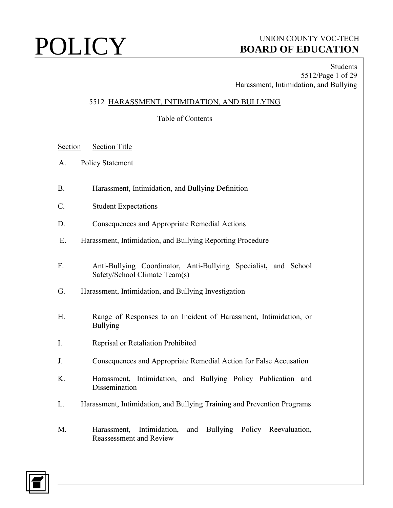# $\text{POLICY} \qquad \qquad \text{BoaRD OF EDUCATION}$ **BOARD OF EDUCATION**

Students 5512/Page 1 of 29 Harassment, Intimidation, and Bullying

## 5512 HARASSMENT, INTIMIDATION, AND BULLYING

Table of Contents

- Section Section Title
- A. Policy Statement
- B. Harassment, Intimidation, and Bullying Definition
- C. Student Expectations
- D. Consequences and Appropriate Remedial Actions
- E. Harassment, Intimidation, and Bullying Reporting Procedure
- F. Anti-Bullying Coordinator, Anti-Bullying Specialist**,** and School Safety/School Climate Team(s)
- G. Harassment, Intimidation, and Bullying Investigation
- H. Range of Responses to an Incident of Harassment, Intimidation, or Bullying
- I. Reprisal or Retaliation Prohibited
- J. Consequences and Appropriate Remedial Action for False Accusation
- K. Harassment, Intimidation, and Bullying Policy Publication and **Dissemination**
- L. Harassment, Intimidation, and Bullying Training and Prevention Programs
- M. Harassment, Intimidation, and Bullying Policy Reevaluation, Reassessment and Review

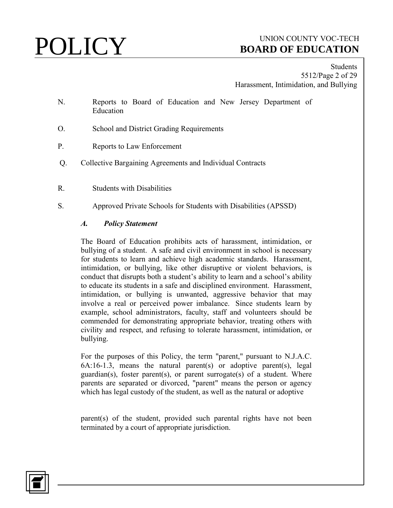Students 5512/Page 2 of 29 Harassment, Intimidation, and Bullying

- N. Reports to Board of Education and New Jersey Department of Education
- O.School and District Grading Requirements
- P. Reports to Law Enforcement
- Q. Collective Bargaining Agreements and Individual Contracts
- R. Students with Disabilities
- S. Approved Private Schools for Students with Disabilities (APSSD)

### *A. Policy Statement*

The Board of Education prohibits acts of harassment, intimidation, or bullying of a student. A safe and civil environment in school is necessary for students to learn and achieve high academic standards. Harassment, intimidation, or bullying, like other disruptive or violent behaviors, is conduct that disrupts both a student's ability to learn and a school's ability to educate its students in a safe and disciplined environment. Harassment, intimidation, or bullying is unwanted, aggressive behavior that may involve a real or perceived power imbalance. Since students learn by example, school administrators, faculty, staff and volunteers should be commended for demonstrating appropriate behavior, treating others with civility and respect, and refusing to tolerate harassment, intimidation, or bullying.

For the purposes of this Policy, the term "parent," pursuant to N.J.A.C.  $6A:16-1.3$ , means the natural parent(s) or adoptive parent(s), legal guardian(s), foster parent(s), or parent surrogate(s) of a student. Where parents are separated or divorced, "parent" means the person or agency which has legal custody of the student, as well as the natural or adoptive

parent(s) of the student, provided such parental rights have not been terminated by a court of appropriate jurisdiction.

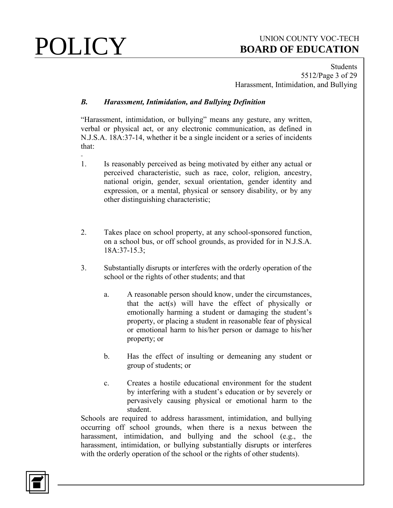**Students** 5512/Page 3 of 29 Harassment, Intimidation, and Bullying

## *B. Harassment, Intimidation, and Bullying Definition*

"Harassment, intimidation, or bullying" means any gesture, any written, verbal or physical act, or any electronic communication, as defined in N.J.S.A. 18A:37-14, whether it be a single incident or a series of incidents that:

- 1. Is reasonably perceived as being motivated by either any actual or perceived characteristic, such as race, color, religion, ancestry, national origin, gender, sexual orientation, gender identity and expression, or a mental, physical or sensory disability, or by any other distinguishing characteristic;
- 2. Takes place on school property, at any school-sponsored function, on a school bus, or off school grounds, as provided for in N.J.S.A. 18A:37-15.3;
- 3. Substantially disrupts or interferes with the orderly operation of the school or the rights of other students; and that
	- a. A reasonable person should know, under the circumstances, that the  $act(s)$  will have the effect of physically or emotionally harming a student or damaging the student's property, or placing a student in reasonable fear of physical or emotional harm to his/her person or damage to his/her property; or
	- b. Has the effect of insulting or demeaning any student or group of students; or
	- c. Creates a hostile educational environment for the student by interfering with a student's education or by severely or pervasively causing physical or emotional harm to the student.

Schools are required to address harassment, intimidation, and bullying occurring off school grounds, when there is a nexus between the harassment, intimidation, and bullying and the school (e.g., the harassment, intimidation, or bullying substantially disrupts or interferes with the orderly operation of the school or the rights of other students).

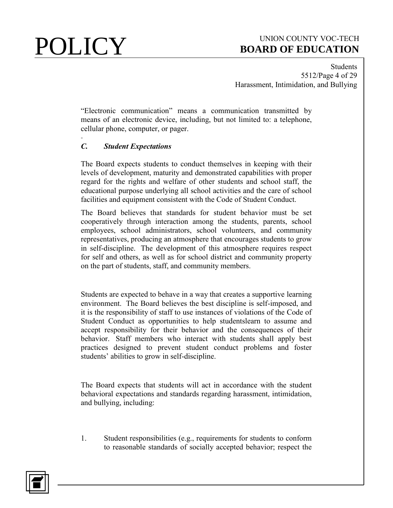Students 5512/Page 4 of 29 Harassment, Intimidation, and Bullying

"Electronic communication" means a communication transmitted by means of an electronic device, including, but not limited to: a telephone, cellular phone, computer, or pager.

## *C. Student Expectations*

The Board expects students to conduct themselves in keeping with their levels of development, maturity and demonstrated capabilities with proper regard for the rights and welfare of other students and school staff, the educational purpose underlying all school activities and the care of school facilities and equipment consistent with the Code of Student Conduct.

The Board believes that standards for student behavior must be set cooperatively through interaction among the students, parents, school employees, school administrators, school volunteers, and community representatives, producing an atmosphere that encourages students to grow in self-discipline. The development of this atmosphere requires respect for self and others, as well as for school district and community property on the part of students, staff, and community members.

Students are expected to behave in a way that creates a supportive learning environment. The Board believes the best discipline is self-imposed, and it is the responsibility of staff to use instances of violations of the Code of Student Conduct as opportunities to help studentslearn to assume and accept responsibility for their behavior and the consequences of their behavior. Staff members who interact with students shall apply best practices designed to prevent student conduct problems and foster students' abilities to grow in self-discipline.

The Board expects that students will act in accordance with the student behavioral expectations and standards regarding harassment, intimidation, and bullying, including:

1. Student responsibilities (e.g., requirements for students to conform to reasonable standards of socially accepted behavior; respect the

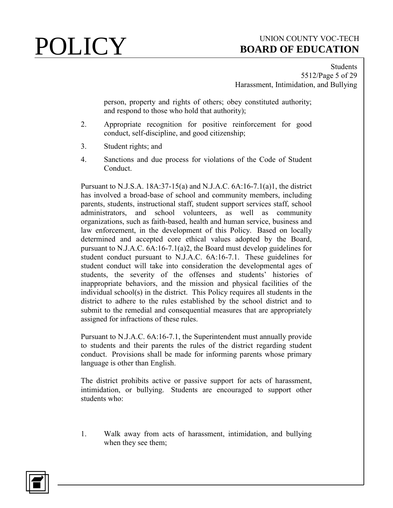**Students** 5512/Page 5 of 29 Harassment, Intimidation, and Bullying

person, property and rights of others; obey constituted authority; and respond to those who hold that authority);

- 2. Appropriate recognition for positive reinforcement for good conduct, self-discipline, and good citizenship;
- 3. Student rights; and
- 4. Sanctions and due process for violations of the Code of Student Conduct.

Pursuant to N.J.S.A. 18A:37-15(a) and N.J.A.C. 6A:16-7.1(a)1, the district has involved a broad-base of school and community members, including parents, students, instructional staff, student support services staff, school administrators, and school volunteers, as well as community organizations, such as faith-based, health and human service, business and law enforcement, in the development of this Policy. Based on locally determined and accepted core ethical values adopted by the Board, pursuant to N.J.A.C. 6A:16-7.1(a)2, the Board must develop guidelines for student conduct pursuant to N.J.A.C. 6A:16-7.1. These guidelines for student conduct will take into consideration the developmental ages of students, the severity of the offenses and students' histories of inappropriate behaviors, and the mission and physical facilities of the individual school(s) in the district. This Policy requires all students in the district to adhere to the rules established by the school district and to submit to the remedial and consequential measures that are appropriately assigned for infractions of these rules.

Pursuant to N.J.A.C. 6A:16-7.1, the Superintendent must annually provide to students and their parents the rules of the district regarding student conduct. Provisions shall be made for informing parents whose primary language is other than English.

The district prohibits active or passive support for acts of harassment, intimidation, or bullying. Students are encouraged to support other students who:

1. Walk away from acts of harassment, intimidation, and bullying when they see them;

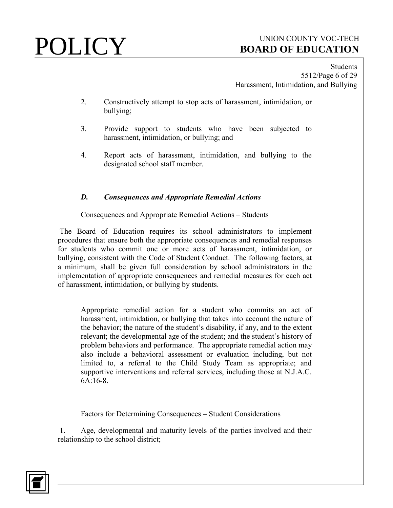# **POLICY** UNION COUNTY VOC-TECH **BOARD OF EDUCATION**

**Students** 5512/Page 6 of 29 Harassment, Intimidation, and Bullying

- 2. Constructively attempt to stop acts of harassment, intimidation, or bullying;
- 3. Provide support to students who have been subjected to harassment, intimidation, or bullying; and
- 4. Report acts of harassment, intimidation, and bullying to the designated school staff member.

## *D. Consequences and Appropriate Remedial Actions*

### Consequences and Appropriate Remedial Actions – Students

The Board of Education requires its school administrators to implement procedures that ensure both the appropriate consequences and remedial responses for students who commit one or more acts of harassment, intimidation, or bullying, consistent with the Code of Student Conduct. The following factors, at a minimum, shall be given full consideration by school administrators in the implementation of appropriate consequences and remedial measures for each act of harassment, intimidation, or bullying by students.

Appropriate remedial action for a student who commits an act of harassment, intimidation, or bullying that takes into account the nature of the behavior; the nature of the student's disability, if any, and to the extent relevant; the developmental age of the student; and the student's history of problem behaviors and performance. The appropriate remedial action may also include a behavioral assessment or evaluation including, but not limited to, a referral to the Child Study Team as appropriate; and supportive interventions and referral services, including those at N.J.A.C. 6A:16-8.

Factors for Determining Consequences **–** Student Considerations

1. Age, developmental and maturity levels of the parties involved and their relationship to the school district;

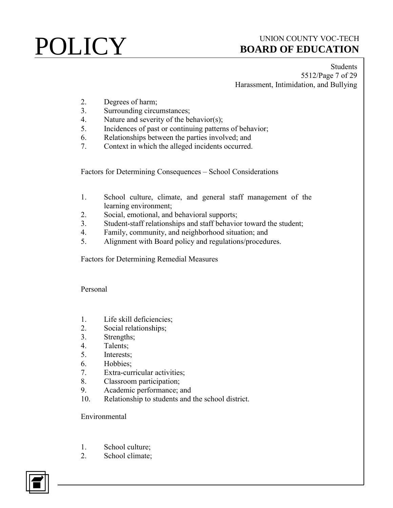**Students** 5512/Page 7 of 29 Harassment, Intimidation, and Bullying

- 2. Degrees of harm;
- 3. Surrounding circumstances;
- 4. Nature and severity of the behavior(s);
- 5. Incidences of past or continuing patterns of behavior;
- 6. Relationships between the parties involved; and
- 7. Context in which the alleged incidents occurred.

Factors for Determining Consequences – School Considerations

- 1. School culture, climate, and general staff management of the learning environment;
- 2. Social, emotional, and behavioral supports;
- 3. Student-staff relationships and staff behavior toward the student;
- 4. Family, community, and neighborhood situation; and
- 5. Alignment with Board policy and regulations/procedures.

Factors for Determining Remedial Measures

Personal

- 1. Life skill deficiencies;
- 2. Social relationships;
- 3. Strengths;
- 4. Talents;
- 5. Interests;
- 6. Hobbies;
- 7. Extra-curricular activities;
- 8. Classroom participation;
- 9. Academic performance; and
- 10. Relationship to students and the school district.

Environmental

- 1. School culture;
- 2. School climate;

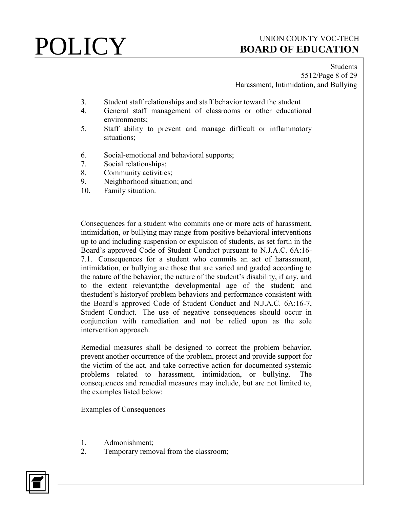**Students** 5512/Page 8 of 29 Harassment, Intimidation, and Bullying

- 3. Student staff relationships and staff behavior toward the student
- 4. General staff management of classrooms or other educational environments;
- 5. Staff ability to prevent and manage difficult or inflammatory situations;
- 6. Social-emotional and behavioral supports;
- 7. Social relationships;
- 8. Community activities;
- 9. Neighborhood situation; and
- 10. Family situation.

Consequences for a student who commits one or more acts of harassment, intimidation, or bullying may range from positive behavioral interventions up to and including suspension or expulsion of students, as set forth in the Board's approved Code of Student Conduct pursuant to N.J.A.C. 6A:16- 7.1. Consequences for a student who commits an act of harassment, intimidation, or bullying are those that are varied and graded according to the nature of the behavior; the nature of the student's disability, if any, and to the extent relevant;the developmental age of the student; and thestudent's historyof problem behaviors and performance consistent with the Board's approved Code of Student Conduct and N.J.A.C. 6A:16-7, Student Conduct. The use of negative consequences should occur in conjunction with remediation and not be relied upon as the sole intervention approach.

Remedial measures shall be designed to correct the problem behavior, prevent another occurrence of the problem, protect and provide support for the victim of the act, and take corrective action for documented systemic problems related to harassment, intimidation, or bullying. The consequences and remedial measures may include, but are not limited to, the examples listed below:

Examples of Consequences

- 1. Admonishment;
- 2. Temporary removal from the classroom;

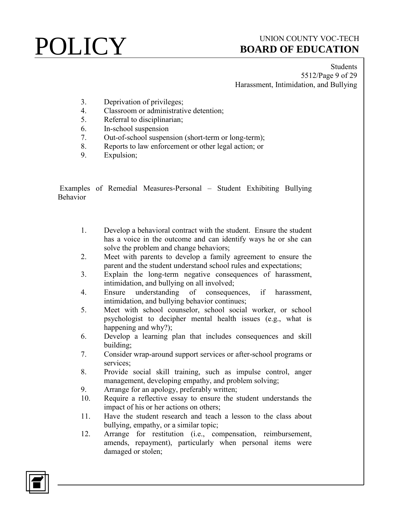Students 5512/Page 9 of 29 Harassment, Intimidation, and Bullying

- 3. Deprivation of privileges;
- 4. Classroom or administrative detention;
- 5. Referral to disciplinarian;
- 6. In-school suspension
- 7. Out-of-school suspension (short-term or long-term);
- 8. Reports to law enforcement or other legal action; or
- 9. Expulsion;

Examples of Remedial Measures-Personal – Student Exhibiting Bullying Behavior

- 1. Develop a behavioral contract with the student. Ensure the student has a voice in the outcome and can identify ways he or she can solve the problem and change behaviors;
- 2. Meet with parents to develop a family agreement to ensure the parent and the student understand school rules and expectations;
- 3. Explain the long-term negative consequences of harassment, intimidation, and bullying on all involved;
- 4. Ensure understanding of consequences, if harassment, intimidation, and bullying behavior continues;
- 5. Meet with school counselor, school social worker, or school psychologist to decipher mental health issues (e.g., what is happening and why?);
- 6. Develop a learning plan that includes consequences and skill building;
- 7. Consider wrap-around support services or after-school programs or services;
- 8. Provide social skill training, such as impulse control, anger management, developing empathy, and problem solving;
- 9. Arrange for an apology, preferably written;
- 10. Require a reflective essay to ensure the student understands the impact of his or her actions on others;
- 11. Have the student research and teach a lesson to the class about bullying, empathy, or a similar topic;
- 12. Arrange for restitution (i.e., compensation, reimbursement, amends, repayment), particularly when personal items were damaged or stolen;

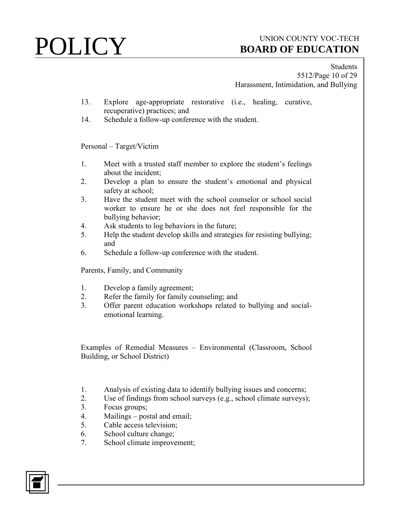Students 5512/Page 10 of 29 Harassment, Intimidation, and Bullying

- 13. Explore age-appropriate restorative (i.e., healing, curative, recuperative) practices; and
- 14. Schedule a follow-up conference with the student.

### Personal – Target/Victim

- 1. Meet with a trusted staff member to explore the student's feelings about the incident;
- 2. Develop a plan to ensure the student's emotional and physical safety at school;
- 3. Have the student meet with the school counselor or school social worker to ensure he or she does not feel responsible for the bullying behavior;
- 4. Ask students to log behaviors in the future;
- 5. Help the student develop skills and strategies for resisting bullying; and
- 6. Schedule a follow-up conference with the student.

Parents, Family, and Community

- 1. Develop a family agreement;
- 2. Refer the family for family counseling; and
- 3. Offer parent education workshops related to bullying and socialemotional learning.

Examples of Remedial Measures – Environmental (Classroom, School Building, or School District)

- 1. Analysis of existing data to identify bullying issues and concerns;
- 2. Use of findings from school surveys (e.g., school climate surveys);
- 3. Focus groups;
- 4. Mailings postal and email;
- 5. Cable access television;
- 6. School culture change;
- 7. School climate improvement;

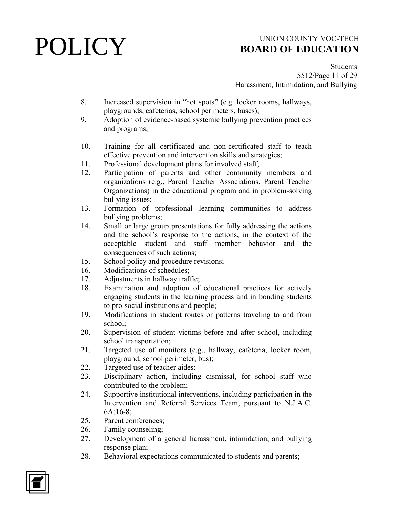Students 5512/Page 11 of 29 Harassment, Intimidation, and Bullying

- 8. Increased supervision in "hot spots" (e.g. locker rooms, hallways, playgrounds, cafeterias, school perimeters, buses);
- 9. Adoption of evidence-based systemic bullying prevention practices and programs;
- 10. Training for all certificated and non-certificated staff to teach effective prevention and intervention skills and strategies;
- 11. Professional development plans for involved staff;
- 12. Participation of parents and other community members and organizations (e.g., Parent Teacher Associations, Parent Teacher Organizations) in the educational program and in problem-solving bullying issues;
- 13. Formation of professional learning communities to address bullying problems;
- 14. Small or large group presentations for fully addressing the actions and the school's response to the actions, in the context of the acceptable student and staff member behavior and the consequences of such actions;
- 15. School policy and procedure revisions;
- 16. Modifications of schedules;
- 17. Adjustments in hallway traffic;
- 18. Examination and adoption of educational practices for actively engaging students in the learning process and in bonding students to pro-social institutions and people;
- 19. Modifications in student routes or patterns traveling to and from school;
- 20. Supervision of student victims before and after school, including school transportation;
- 21. Targeted use of monitors (e.g., hallway, cafeteria, locker room, playground, school perimeter, bus);
- 22. Targeted use of teacher aides;
- 23. Disciplinary action, including dismissal, for school staff who contributed to the problem;
- 24. Supportive institutional interventions, including participation in the Intervention and Referral Services Team, pursuant to N.J.A.C. 6A:16-8;
- 25. Parent conferences;
- 26. Family counseling;
- 27. Development of a general harassment, intimidation, and bullying response plan;
- 28. Behavioral expectations communicated to students and parents;

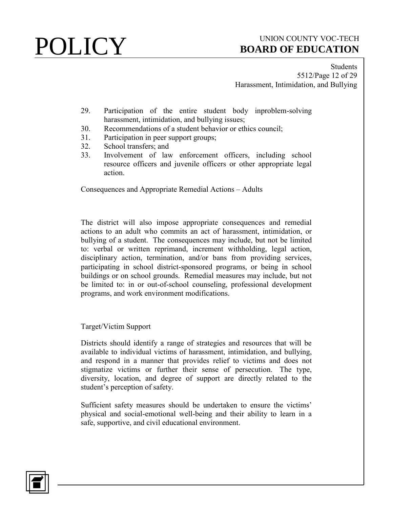**Students** 5512/Page 12 of 29 Harassment, Intimidation, and Bullying

- 29. Participation of the entire student body inproblem-solving harassment, intimidation, and bullying issues;
- 30. Recommendations of a student behavior or ethics council;
- 31. Participation in peer support groups;
- 32. School transfers; and
- 33. Involvement of law enforcement officers, including school resource officers and juvenile officers or other appropriate legal action.

Consequences and Appropriate Remedial Actions – Adults

The district will also impose appropriate consequences and remedial actions to an adult who commits an act of harassment, intimidation, or bullying of a student. The consequences may include, but not be limited to: verbal or written reprimand, increment withholding, legal action, disciplinary action, termination, and/or bans from providing services, participating in school district-sponsored programs, or being in school buildings or on school grounds. Remedial measures may include, but not be limited to: in or out-of-school counseling, professional development programs, and work environment modifications.

Target/Victim Support

Districts should identify a range of strategies and resources that will be available to individual victims of harassment, intimidation, and bullying, and respond in a manner that provides relief to victims and does not stigmatize victims or further their sense of persecution. The type, diversity, location, and degree of support are directly related to the student's perception of safety.

Sufficient safety measures should be undertaken to ensure the victims' physical and social-emotional well-being and their ability to learn in a safe, supportive, and civil educational environment.

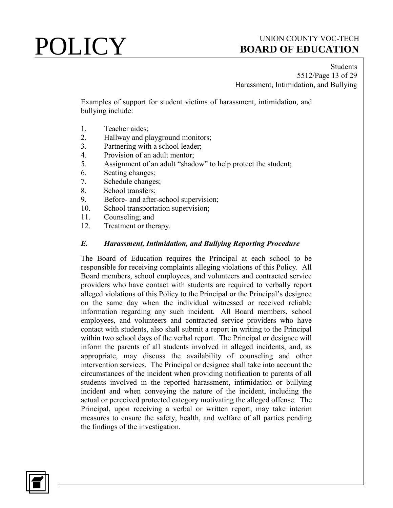**Students** 5512/Page 13 of 29 Harassment, Intimidation, and Bullying

Examples of support for student victims of harassment, intimidation, and bullying include:

- 1. Teacher aides;
- 2. Hallway and playground monitors;
- 3. Partnering with a school leader;
- 4. Provision of an adult mentor;
- 5. Assignment of an adult "shadow" to help protect the student;
- 6. Seating changes;
- 7. Schedule changes;
- 8. School transfers;
- 9. Before- and after-school supervision;
- 10. School transportation supervision;
- 11. Counseling; and
- 12. Treatment or therapy.

### *E. Harassment, Intimidation, and Bullying Reporting Procedure*

The Board of Education requires the Principal at each school to be responsible for receiving complaints alleging violations of this Policy. All Board members, school employees, and volunteers and contracted service providers who have contact with students are required to verbally report alleged violations of this Policy to the Principal or the Principal's designee on the same day when the individual witnessed or received reliable information regarding any such incident. All Board members, school employees, and volunteers and contracted service providers who have contact with students, also shall submit a report in writing to the Principal within two school days of the verbal report. The Principal or designee will inform the parents of all students involved in alleged incidents, and, as appropriate, may discuss the availability of counseling and other intervention services. The Principal or designee shall take into account the circumstances of the incident when providing notification to parents of all students involved in the reported harassment, intimidation or bullying incident and when conveying the nature of the incident, including the actual or perceived protected category motivating the alleged offense. The Principal, upon receiving a verbal or written report, may take interim measures to ensure the safety, health, and welfare of all parties pending the findings of the investigation.

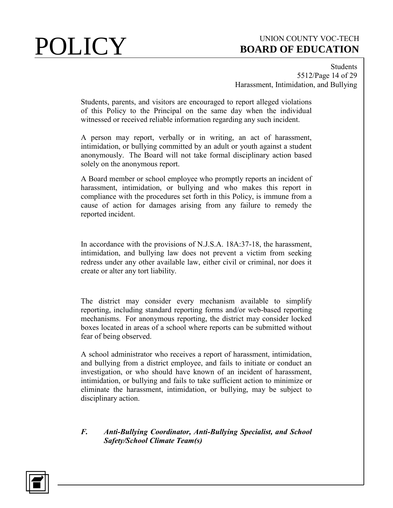Students 5512/Page 14 of 29 Harassment, Intimidation, and Bullying

Students, parents, and visitors are encouraged to report alleged violations of this Policy to the Principal on the same day when the individual witnessed or received reliable information regarding any such incident.

A person may report, verbally or in writing, an act of harassment, intimidation, or bullying committed by an adult or youth against a student anonymously. The Board will not take formal disciplinary action based solely on the anonymous report.

A Board member or school employee who promptly reports an incident of harassment, intimidation, or bullying and who makes this report in compliance with the procedures set forth in this Policy, is immune from a cause of action for damages arising from any failure to remedy the reported incident.

In accordance with the provisions of N.J.S.A. 18A:37-18, the harassment, intimidation, and bullying law does not prevent a victim from seeking redress under any other available law, either civil or criminal, nor does it create or alter any tort liability.

The district may consider every mechanism available to simplify reporting, including standard reporting forms and/or web-based reporting mechanisms. For anonymous reporting, the district may consider locked boxes located in areas of a school where reports can be submitted without fear of being observed.

A school administrator who receives a report of harassment, intimidation, and bullying from a district employee, and fails to initiate or conduct an investigation, or who should have known of an incident of harassment, intimidation, or bullying and fails to take sufficient action to minimize or eliminate the harassment, intimidation, or bullying, may be subject to disciplinary action.

### *F. Anti-Bullying Coordinator, Anti-Bullying Specialist, and School Safety/School Climate Team(s)*

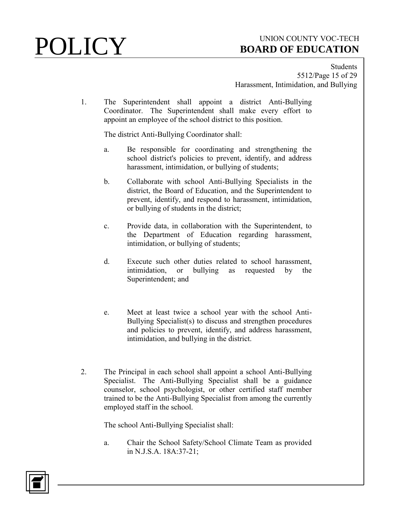**Students** 5512/Page 15 of 29 Harassment, Intimidation, and Bullying

1. The Superintendent shall appoint a district Anti-Bullying Coordinator. The Superintendent shall make every effort to appoint an employee of the school district to this position.

The district Anti-Bullying Coordinator shall:

- a. Be responsible for coordinating and strengthening the school district's policies to prevent, identify, and address harassment, intimidation, or bullying of students;
- b. Collaborate with school Anti-Bullying Specialists in the district, the Board of Education, and the Superintendent to prevent, identify, and respond to harassment, intimidation, or bullying of students in the district;
- c. Provide data, in collaboration with the Superintendent, to the Department of Education regarding harassment, intimidation, or bullying of students;
- d. Execute such other duties related to school harassment, intimidation, or bullying as requested by the Superintendent; and
- e. Meet at least twice a school year with the school Anti-Bullying Specialist(s) to discuss and strengthen procedures and policies to prevent, identify, and address harassment, intimidation, and bullying in the district.
- 2. The Principal in each school shall appoint a school Anti-Bullying Specialist. The Anti-Bullying Specialist shall be a guidance counselor, school psychologist, or other certified staff member trained to be the Anti-Bullying Specialist from among the currently employed staff in the school.

The school Anti-Bullying Specialist shall:

a. Chair the School Safety/School Climate Team as provided in N.J.S.A. 18A:37-21;

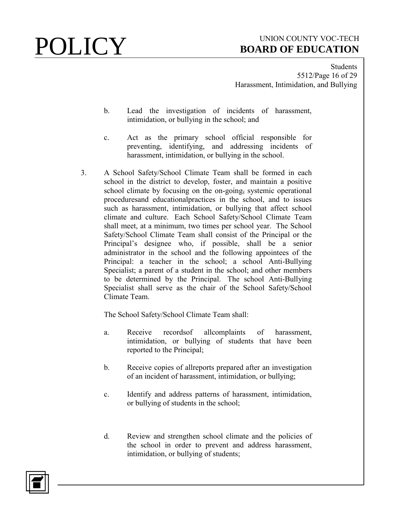**Students** 5512/Page 16 of 29 Harassment, Intimidation, and Bullying

- b. Lead the investigation of incidents of harassment, intimidation, or bullying in the school; and
- c. Act as the primary school official responsible for preventing, identifying, and addressing incidents of harassment, intimidation, or bullying in the school.
- 3. A School Safety/School Climate Team shall be formed in each school in the district to develop, foster, and maintain a positive school climate by focusing on the on-going, systemic operational proceduresand educationalpractices in the school, and to issues such as harassment, intimidation, or bullying that affect school climate and culture. Each School Safety/School Climate Team shall meet, at a minimum, two times per school year. The School Safety/School Climate Team shall consist of the Principal or the Principal's designee who, if possible, shall be a senior administrator in the school and the following appointees of the Principal: a teacher in the school; a school Anti-Bullying Specialist; a parent of a student in the school; and other members to be determined by the Principal. The school Anti-Bullying Specialist shall serve as the chair of the School Safety/School Climate Team.

The School Safety/School Climate Team shall:

- a. Receive recordsof allcomplaints of harassment, intimidation, or bullying of students that have been reported to the Principal;
- b. Receive copies of allreports prepared after an investigation of an incident of harassment, intimidation, or bullying;
- c. Identify and address patterns of harassment, intimidation, or bullying of students in the school;
- d. Review and strengthen school climate and the policies of the school in order to prevent and address harassment, intimidation, or bullying of students;

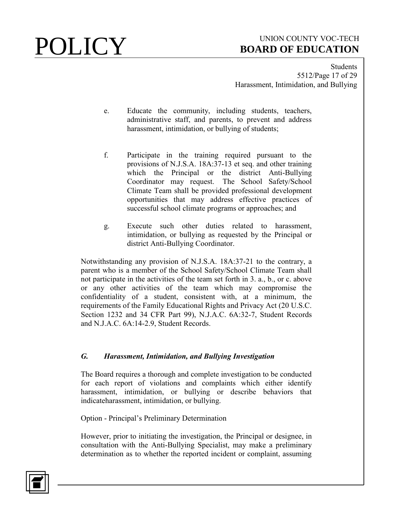**Students** 5512/Page 17 of 29 Harassment, Intimidation, and Bullying

- e. Educate the community, including students, teachers, administrative staff, and parents, to prevent and address harassment, intimidation, or bullying of students;
- f. Participate in the training required pursuant to the provisions of N.J.S.A. 18A:37-13 et seq. and other training which the Principal or the district Anti-Bullying Coordinator may request. The School Safety/School Climate Team shall be provided professional development opportunities that may address effective practices of successful school climate programs or approaches; and
- g. Execute such other duties related to harassment, intimidation, or bullying as requested by the Principal or district Anti-Bullying Coordinator.

Notwithstanding any provision of N.J.S.A. 18A:37-21 to the contrary, a parent who is a member of the School Safety/School Climate Team shall not participate in the activities of the team set forth in 3. a., b., or c. above or any other activities of the team which may compromise the confidentiality of a student, consistent with, at a minimum, the requirements of the Family Educational Rights and Privacy Act (20 U.S.C. Section 1232 and 34 CFR Part 99), N.J.A.C. 6A:32-7, Student Records and N.J.A.C. 6A:14-2.9, Student Records.

### *G. Harassment, Intimidation, and Bullying Investigation*

The Board requires a thorough and complete investigation to be conducted for each report of violations and complaints which either identify harassment, intimidation, or bullying or describe behaviors that indicateharassment, intimidation, or bullying.

Option - Principal's Preliminary Determination

However, prior to initiating the investigation, the Principal or designee, in consultation with the Anti-Bullying Specialist, may make a preliminary determination as to whether the reported incident or complaint, assuming

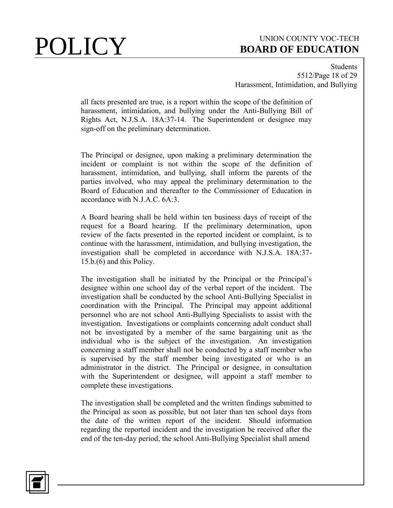Students 5512/Page 18 of 29 Harassment, Intimidation, and Bullying

all facts presented are true, is a report within the scope of the definition of harassment, intimidation, and bullying under the Anti-Bullying Bill of Rights Act, N.J.S.A. 18A:37-14. The Superintendent or designee may sign-off on the preliminary determination.

The Principal or designee, upon making a preliminary determination the incident or complaint is not within the scope of the definition of harassment, intimidation, and bullying, shall inform the parents of the parties involved, who may appeal the preliminary determination to the Board of Education and thereafter to the Commissioner of Education in accordance with N.J.A.C. 6A:3.

A Board hearing shall be held within ten business days of receipt of the request for a Board hearing. If the preliminary determination, upon review of the facts presented in the reported incident or complaint, is to continue with the harassment, intimidation, and bullying investigation, the investigation shall be completed in accordance with N.J.S.A. 18A:37- 15.b.(6) and this Policy.

The investigation shall be initiated by the Principal or the Principal's designee within one school day of the verbal report of the incident. The investigation shall be conducted by the school Anti-Bullying Specialist in coordination with the Principal. The Principal may appoint additional personnel who are not school Anti-Bullying Specialists to assist with the investigation. Investigations or complaints concerning adult conduct shall not be investigated by a member of the same bargaining unit as the individual who is the subject of the investigation. An investigation concerning a staff member shall not be conducted by a staff member who is supervised by the staff member being investigated or who is an administrator in the district. The Principal or designee, in consultation with the Superintendent or designee, will appoint a staff member to complete these investigations.

The investigation shall be completed and the written findings submitted to the Principal as soon as possible, but not later than ten school days from the date of the written report of the incident. Should information regarding the reported incident and the investigation be received after the end of the ten-day period, the school Anti-Bullying Specialist shall amend

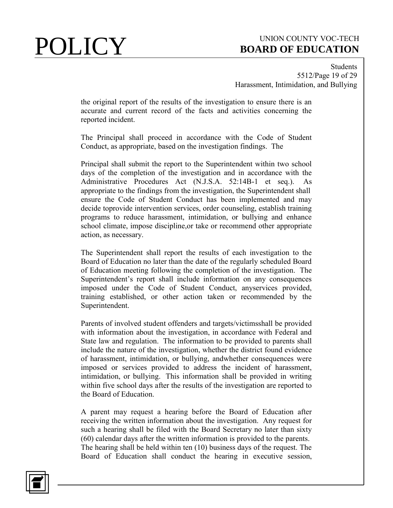Students 5512/Page 19 of 29 Harassment, Intimidation, and Bullying

the original report of the results of the investigation to ensure there is an accurate and current record of the facts and activities concerning the reported incident.

The Principal shall proceed in accordance with the Code of Student Conduct, as appropriate, based on the investigation findings. The

Principal shall submit the report to the Superintendent within two school days of the completion of the investigation and in accordance with the Administrative Procedures Act (N.J.S.A. 52:14B-1 et seq.). As appropriate to the findings from the investigation, the Superintendent shall ensure the Code of Student Conduct has been implemented and may decide toprovide intervention services, order counseling, establish training programs to reduce harassment, intimidation, or bullying and enhance school climate, impose discipline,or take or recommend other appropriate action, as necessary.

The Superintendent shall report the results of each investigation to the Board of Education no later than the date of the regularly scheduled Board of Education meeting following the completion of the investigation. The Superintendent's report shall include information on any consequences imposed under the Code of Student Conduct, anyservices provided, training established, or other action taken or recommended by the Superintendent.

Parents of involved student offenders and targets/victimsshall be provided with information about the investigation, in accordance with Federal and State law and regulation. The information to be provided to parents shall include the nature of the investigation, whether the district found evidence of harassment, intimidation, or bullying, andwhether consequences were imposed or services provided to address the incident of harassment, intimidation, or bullying. This information shall be provided in writing within five school days after the results of the investigation are reported to the Board of Education.

A parent may request a hearing before the Board of Education after receiving the written information about the investigation. Any request for such a hearing shall be filed with the Board Secretary no later than sixty (60) calendar days after the written information is provided to the parents. The hearing shall be held within ten (10) business days of the request. The Board of Education shall conduct the hearing in executive session,

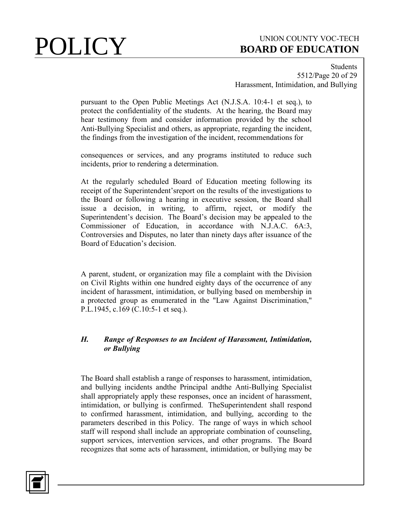Students 5512/Page 20 of 29 Harassment, Intimidation, and Bullying

pursuant to the Open Public Meetings Act (N.J.S.A. 10:4-1 et seq.), to protect the confidentiality of the students. At the hearing, the Board may hear testimony from and consider information provided by the school Anti-Bullying Specialist and others, as appropriate, regarding the incident, the findings from the investigation of the incident, recommendations for

consequences or services, and any programs instituted to reduce such incidents, prior to rendering a determination.

At the regularly scheduled Board of Education meeting following its receipt of the Superintendent'sreport on the results of the investigations to the Board or following a hearing in executive session, the Board shall issue a decision, in writing, to affirm, reject, or modify the Superintendent's decision. The Board's decision may be appealed to the Commissioner of Education, in accordance with N.J.A.C. 6A:3, Controversies and Disputes, no later than ninety days after issuance of the Board of Education's decision.

A parent, student, or organization may file a complaint with the Division on Civil Rights within one hundred eighty days of the occurrence of any incident of harassment, intimidation, or bullying based on membership in a protected group as enumerated in the "Law Against Discrimination," P.L.1945, c.169 (C.10:5-1 et seq.).

## *H. Range of Responses to an Incident of Harassment, Intimidation, or Bullying*

The Board shall establish a range of responses to harassment, intimidation, and bullying incidents andthe Principal andthe Anti-Bullying Specialist shall appropriately apply these responses, once an incident of harassment, intimidation, or bullying is confirmed. TheSuperintendent shall respond to confirmed harassment, intimidation, and bullying, according to the parameters described in this Policy. The range of ways in which school staff will respond shall include an appropriate combination of counseling, support services, intervention services, and other programs. The Board recognizes that some acts of harassment, intimidation, or bullying may be

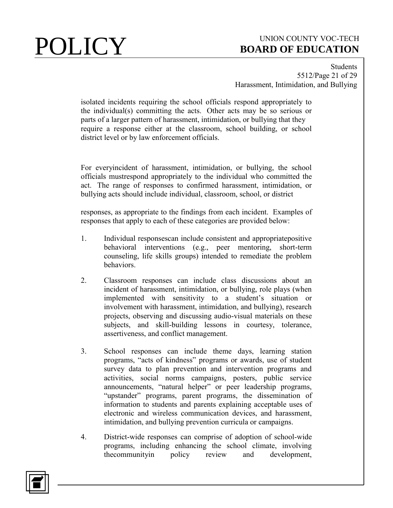**Students** 5512/Page 21 of 29 Harassment, Intimidation, and Bullying

isolated incidents requiring the school officials respond appropriately to the individual(s) committing the acts. Other acts may be so serious or parts of a larger pattern of harassment, intimidation, or bullying that they require a response either at the classroom, school building, or school district level or by law enforcement officials.

For everyincident of harassment, intimidation, or bullying, the school officials mustrespond appropriately to the individual who committed the act. The range of responses to confirmed harassment, intimidation, or bullying acts should include individual, classroom, school, or district

responses, as appropriate to the findings from each incident. Examples of responses that apply to each of these categories are provided below:

- 1. Individual responsescan include consistent and appropriatepositive behavioral interventions (e.g., peer mentoring, short-term counseling, life skills groups) intended to remediate the problem behaviors.
- 2. Classroom responses can include class discussions about an incident of harassment, intimidation, or bullying, role plays (when implemented with sensitivity to a student's situation or involvement with harassment, intimidation, and bullying), research projects, observing and discussing audio-visual materials on these subjects, and skill-building lessons in courtesy, tolerance, assertiveness, and conflict management.
- 3. School responses can include theme days, learning station programs, "acts of kindness" programs or awards, use of student survey data to plan prevention and intervention programs and activities, social norms campaigns, posters, public service announcements, "natural helper" or peer leadership programs, "upstander" programs, parent programs, the dissemination of information to students and parents explaining acceptable uses of electronic and wireless communication devices, and harassment, intimidation, and bullying prevention curricula or campaigns.
- 4. District-wide responses can comprise of adoption of school-wide programs, including enhancing the school climate, involving thecommunityin policy review and development,

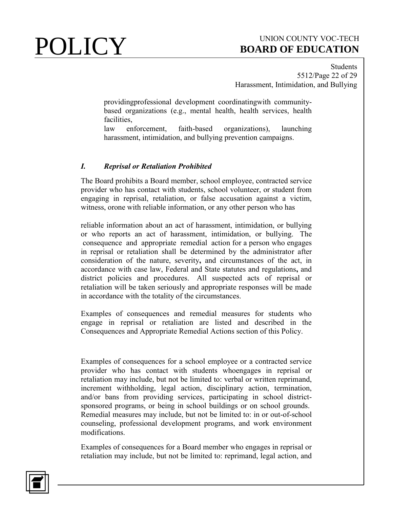Students 5512/Page 22 of 29 Harassment, Intimidation, and Bullying

providingprofessional development coordinatingwith communitybased organizations (e.g., mental health, health services, health facilities,

law enforcement, faith-based organizations), launching harassment, intimidation, and bullying prevention campaigns.

### *I. Reprisal or Retaliation Prohibited*

The Board prohibits a Board member, school employee, contracted service provider who has contact with students, school volunteer, or student from engaging in reprisal, retaliation, or false accusation against a victim, witness, orone with reliable information, or any other person who has

reliable information about an act of harassment, intimidation, or bullying or who reports an act of harassment, intimidation, or bullying. The consequence and appropriate remedial action for a person who engages in reprisal or retaliation shall be determined by the administrator after consideration of the nature, severity**,** and circumstances of the act, in accordance with case law, Federal and State statutes and regulations**,** and district policies and procedures. All suspected acts of reprisal or retaliation will be taken seriously and appropriate responses will be made in accordance with the totality of the circumstances.

Examples of consequences and remedial measures for students who engage in reprisal or retaliation are listed and described in the Consequences and Appropriate Remedial Actions section of this Policy.

Examples of consequences for a school employee or a contracted service provider who has contact with students whoengages in reprisal or retaliation may include, but not be limited to: verbal or written reprimand, increment withholding, legal action, disciplinary action, termination, and/or bans from providing services, participating in school districtsponsored programs, or being in school buildings or on school grounds. Remedial measures may include, but not be limited to: in or out-of-school counseling, professional development programs, and work environment modifications.

Examples of consequences for a Board member who engages in reprisal or retaliation may include, but not be limited to: reprimand, legal action, and

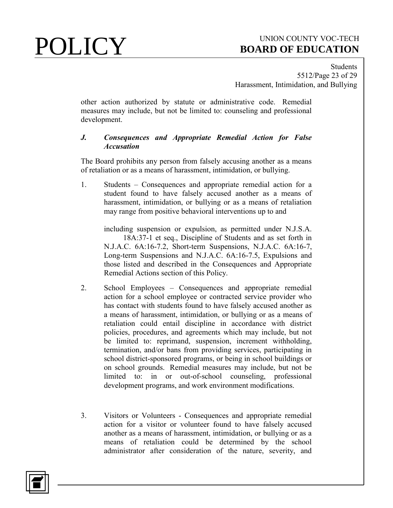**Students** 5512/Page 23 of 29 Harassment, Intimidation, and Bullying

other action authorized by statute or administrative code. Remedial measures may include, but not be limited to: counseling and professional development.

### *J. Consequences and Appropriate Remedial Action for False Accusation*

The Board prohibits any person from falsely accusing another as a means of retaliation or as a means of harassment, intimidation, or bullying.

1. Students – Consequences and appropriate remedial action for a student found to have falsely accused another as a means of harassment, intimidation, or bullying or as a means of retaliation may range from positive behavioral interventions up to and

 including suspension or expulsion, as permitted under N.J.S.A. 18A:37-1 et seq., Discipline of Students and as set forth in N.J.A.C. 6A:16-7.2, Short-term Suspensions, N.J.A.C. 6A:16-7, Long-term Suspensions and N.J.A.C. 6A:16-7.5, Expulsions and those listed and described in the Consequences and Appropriate Remedial Actions section of this Policy.

- 2. School Employees Consequences and appropriate remedial action for a school employee or contracted service provider who has contact with students found to have falsely accused another as a means of harassment, intimidation, or bullying or as a means of retaliation could entail discipline in accordance with district policies, procedures, and agreements which may include, but not be limited to: reprimand, suspension, increment withholding, termination, and/or bans from providing services, participating in school district-sponsored programs, or being in school buildings or on school grounds. Remedial measures may include, but not be limited to: in or out-of-school counseling, professional development programs, and work environment modifications.
- 3. Visitors or Volunteers Consequences and appropriate remedial action for a visitor or volunteer found to have falsely accused another as a means of harassment, intimidation, or bullying or as a means of retaliation could be determined by the school administrator after consideration of the nature, severity, and

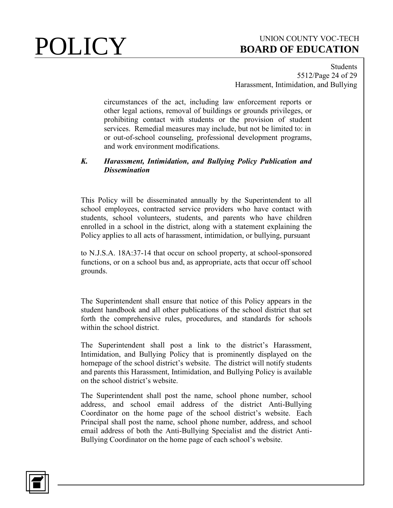Students 5512/Page 24 of 29 Harassment, Intimidation, and Bullying

circumstances of the act, including law enforcement reports or other legal actions, removal of buildings or grounds privileges, or prohibiting contact with students or the provision of student services. Remedial measures may include, but not be limited to: in or out-of-school counseling, professional development programs, and work environment modifications.

### *K. Harassment, Intimidation, and Bullying Policy Publication and Dissemination*

This Policy will be disseminated annually by the Superintendent to all school employees, contracted service providers who have contact with students, school volunteers, students, and parents who have children enrolled in a school in the district, along with a statement explaining the Policy applies to all acts of harassment, intimidation, or bullying, pursuant

to N.J.S.A. 18A:37-14 that occur on school property, at school-sponsored functions, or on a school bus and, as appropriate, acts that occur off school grounds.

The Superintendent shall ensure that notice of this Policy appears in the student handbook and all other publications of the school district that set forth the comprehensive rules, procedures, and standards for schools within the school district.

The Superintendent shall post a link to the district's Harassment, Intimidation, and Bullying Policy that is prominently displayed on the homepage of the school district's website. The district will notify students and parents this Harassment, Intimidation, and Bullying Policy is available on the school district's website.

The Superintendent shall post the name, school phone number, school address, and school email address of the district Anti-Bullying Coordinator on the home page of the school district's website. Each Principal shall post the name, school phone number, address, and school email address of both the Anti-Bullying Specialist and the district Anti-Bullying Coordinator on the home page of each school's website.

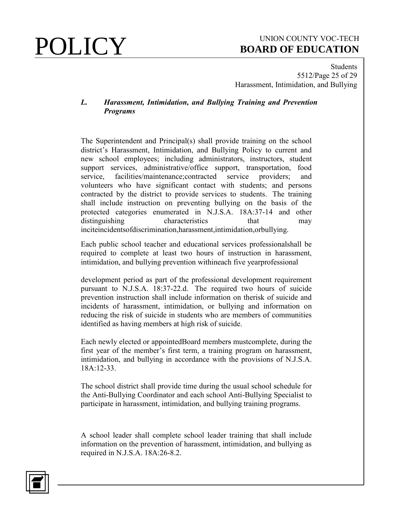Students 5512/Page 25 of 29 Harassment, Intimidation, and Bullying

### *L. Harassment, Intimidation, and Bullying Training and Prevention Programs*

The Superintendent and Principal(s) shall provide training on the school district's Harassment, Intimidation, and Bullying Policy to current and new school employees; including administrators, instructors, student support services, administrative/office support, transportation, food service, facilities/maintenance;contracted service providers; and volunteers who have significant contact with students; and persons contracted by the district to provide services to students. The training shall include instruction on preventing bullying on the basis of the protected categories enumerated in N.J.S.A. 18A:37-14 and other distinguishing characteristics that may inciteincidentsofdiscrimination,harassment,intimidation,orbullying.

Each public school teacher and educational services professionalshall be required to complete at least two hours of instruction in harassment, intimidation, and bullying prevention withineach five yearprofessional

development period as part of the professional development requirement pursuant to N.J.S.A. 18:37-22.d. The required two hours of suicide prevention instruction shall include information on therisk of suicide and incidents of harassment, intimidation, or bullying and information on reducing the risk of suicide in students who are members of communities identified as having members at high risk of suicide.

Each newly elected or appointedBoard members mustcomplete, during the first year of the member's first term, a training program on harassment, intimidation, and bullying in accordance with the provisions of N.J.S.A. 18A:12-33.

The school district shall provide time during the usual school schedule for the Anti-Bullying Coordinator and each school Anti-Bullying Specialist to participate in harassment, intimidation, and bullying training programs.

A school leader shall complete school leader training that shall include information on the prevention of harassment, intimidation, and bullying as required in N.J.S.A. 18A:26-8.2.

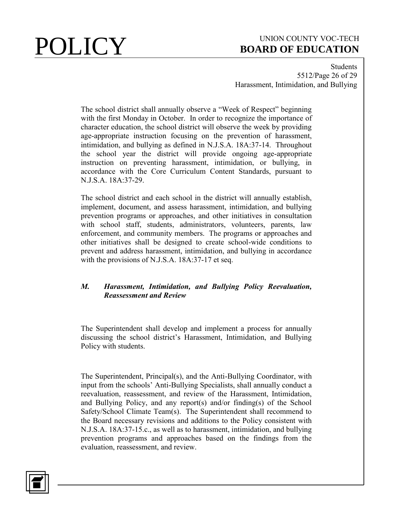Students 5512/Page 26 of 29 Harassment, Intimidation, and Bullying

The school district shall annually observe a "Week of Respect" beginning with the first Monday in October. In order to recognize the importance of character education, the school district will observe the week by providing age-appropriate instruction focusing on the prevention of harassment, intimidation, and bullying as defined in N.J.S.A. 18A:37-14. Throughout the school year the district will provide ongoing age-appropriate instruction on preventing harassment, intimidation, or bullying, in accordance with the Core Curriculum Content Standards, pursuant to N.J.S.A. 18A:37-29.

The school district and each school in the district will annually establish, implement, document, and assess harassment, intimidation, and bullying prevention programs or approaches, and other initiatives in consultation with school staff, students, administrators, volunteers, parents, law enforcement, and community members. The programs or approaches and other initiatives shall be designed to create school-wide conditions to prevent and address harassment, intimidation, and bullying in accordance with the provisions of N.J.S.A. 18A:37-17 et seq.

### *M. Harassment, Intimidation, and Bullying Policy Reevaluation, Reassessment and Review*

The Superintendent shall develop and implement a process for annually discussing the school district's Harassment, Intimidation, and Bullying Policy with students.

The Superintendent, Principal(s), and the Anti-Bullying Coordinator, with input from the schools' Anti-Bullying Specialists, shall annually conduct a reevaluation, reassessment, and review of the Harassment, Intimidation, and Bullying Policy, and any report(s) and/or finding(s) of the School Safety/School Climate Team(s). The Superintendent shall recommend to the Board necessary revisions and additions to the Policy consistent with N.J.S.A. 18A:37-15.c., as well as to harassment, intimidation, and bullying prevention programs and approaches based on the findings from the evaluation, reassessment, and review.

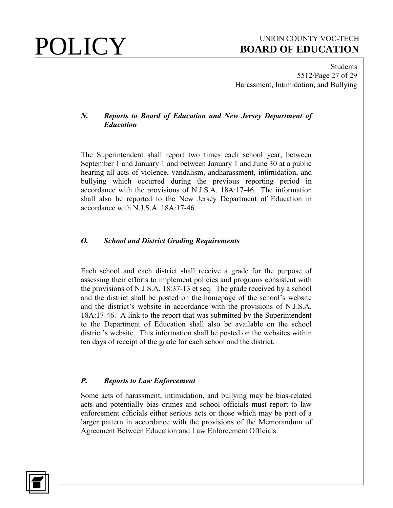Students 5512/Page 27 of 29 Harassment, Intimidation, and Bullying

### *N. Reports to Board of Education and New Jersey Department of Education*

The Superintendent shall report two times each school year, between September 1 and January 1 and between January 1 and June 30 at a public hearing all acts of violence, vandalism, andharassment, intimidation, and bullying which occurred during the previous reporting period in accordance with the provisions of N.J.S.A. 18A:17-46. The information shall also be reported to the New Jersey Department of Education in accordance with N.J.S.A. 18A:17-46.

### *O. School and District Grading Requirements*

Each school and each district shall receive a grade for the purpose of assessing their efforts to implement policies and programs consistent with the provisions of N.J.S.A. 18:37-13 et seq. The grade received by a school and the district shall be posted on the homepage of the school's website and the district's website in accordance with the provisions of N.J.S.A. 18A:17-46. A link to the report that was submitted by the Superintendent to the Department of Education shall also be available on the school district's website. This information shall be posted on the websites within ten days of receipt of the grade for each school and the district.

## *P. Reports to Law Enforcement*

Some acts of harassment, intimidation, and bullying may be bias-related acts and potentially bias crimes and school officials must report to law enforcement officials either serious acts or those which may be part of a larger pattern in accordance with the provisions of the Memorandum of Agreement Between Education and Law Enforcement Officials.

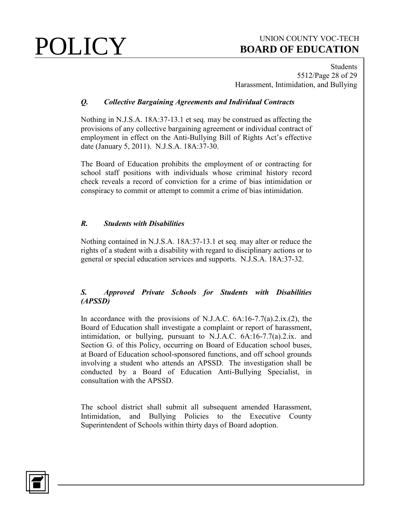Students 5512/Page 28 of 29 Harassment, Intimidation, and Bullying

## *Q. Collective Bargaining Agreements and Individual Contracts*

Nothing in N.J.S.A. 18A:37-13.1 et seq. may be construed as affecting the provisions of any collective bargaining agreement or individual contract of employment in effect on the Anti-Bullying Bill of Rights Act's effective date (January 5, 2011). N.J.S.A. 18A:37-30.

The Board of Education prohibits the employment of or contracting for school staff positions with individuals whose criminal history record check reveals a record of conviction for a crime of bias intimidation or conspiracy to commit or attempt to commit a crime of bias intimidation.

## *R. Students with Disabilities*

Nothing contained in N.J.S.A. 18A:37-13.1 et seq. may alter or reduce the rights of a student with a disability with regard to disciplinary actions or to general or special education services and supports. N.J.S.A. 18A:37-32.

## *S. Approved Private Schools for Students with Disabilities (APSSD)*

In accordance with the provisions of N.J.A.C.  $6A:16-7.7(a).2.x.(2)$ , the Board of Education shall investigate a complaint or report of harassment, intimidation, or bullying, pursuant to N.J.A.C. 6A:16-7.7(a).2.ix. and Section G. of this Policy, occurring on Board of Education school buses, at Board of Education school-sponsored functions, and off school grounds involving a student who attends an APSSD. The investigation shall be conducted by a Board of Education Anti-Bullying Specialist, in consultation with the APSSD.

The school district shall submit all subsequent amended Harassment, Intimidation, and Bullying Policies to the Executive County Superintendent of Schools within thirty days of Board adoption.